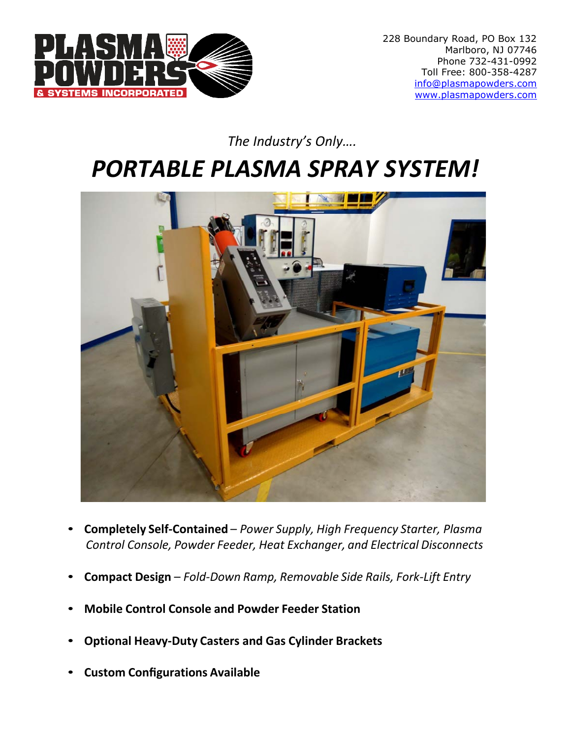

#### *The Industry's Only….*

# *PORTABLE PLASMA SPRAY SYSTEM!*



- **Completely Self-Contained** *Power Supply, High Frequency Starter, Plasma Control Console, Powder Feeder, Heat Exchanger, and Electrical Disconnects*
- **Compact Design** *Fold-Down Ramp, Removable Side Rails, Fork-Lift Entry*
- **Mobile Control Console and Powder Feeder Station**
- **Optional Heavy-Duty Casters and Gas Cylinder Brackets**
- **Custom Configurations Available**